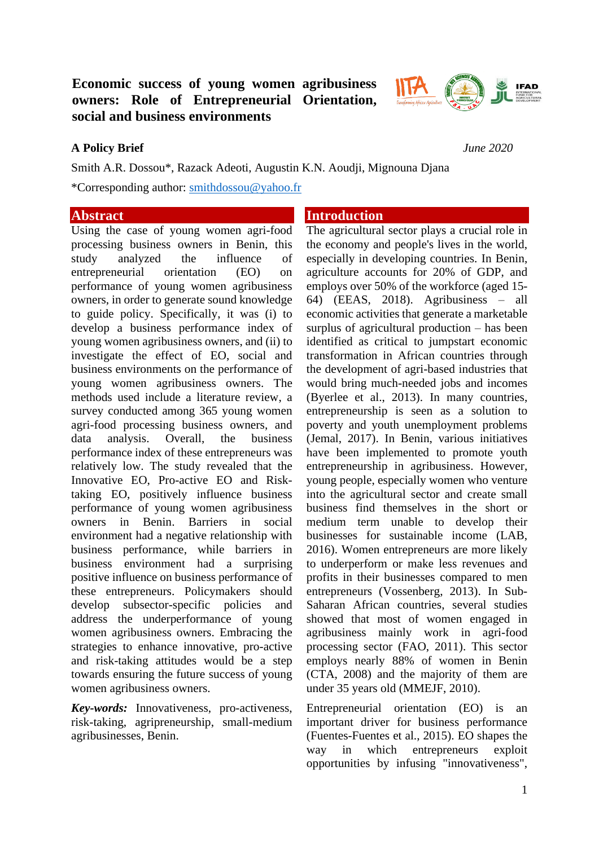# **Economic success of young women agribusiness owners: Role of Entrepreneurial Orientation, social and business environments**



## **A Policy Brief** *June 2020*

Smith A.R. Dossou\*, Razack Adeoti, Augustin K.N. Aoudji, Mignouna Djana \*Corresponding author: [smithdossou@yahoo.fr](mailto:smithdossou@yahoo.fr)

## **Abstract**

Using the case of young women agri-food processing business owners in Benin, this study analyzed the influence of entrepreneurial orientation (EO) on performance of young women agribusiness owners, in order to generate sound knowledge to guide policy. Specifically, it was (i) to develop a business performance index of young women agribusiness owners, and (ii) to investigate the effect of EO, social and business environments on the performance of young women agribusiness owners. The methods used include a literature review, a survey conducted among 365 young women agri-food processing business owners, and data analysis. Overall, the business performance index of these entrepreneurs was relatively low. The study revealed that the Innovative EO, Pro-active EO and Risktaking EO, positively influence business performance of young women agribusiness owners in Benin. Barriers in social environment had a negative relationship with business performance, while barriers in business environment had a surprising positive influence on business performance of these entrepreneurs. Policymakers should develop subsector-specific policies and address the underperformance of young women agribusiness owners. Embracing the strategies to enhance innovative, pro-active and risk-taking attitudes would be a step towards ensuring the future success of young women agribusiness owners.

*Key-words:* Innovativeness, pro-activeness, risk-taking, agripreneurship, small-medium agribusinesses, Benin.

## **Introduction**

The agricultural sector plays a crucial role in the economy and people's lives in the world, especially in developing countries. In Benin, agriculture accounts for 20% of GDP, and employs over 50% of the workforce (aged 15- 64) (EEAS, 2018). Agribusiness – all economic activities that generate a marketable surplus of agricultural production – has been identified as critical to jumpstart economic transformation in African countries through the development of agri-based industries that would bring much-needed jobs and incomes (Byerlee et al., 2013). In many countries, entrepreneurship is seen as a solution to poverty and youth unemployment problems (Jemal, 2017). In Benin, various initiatives have been implemented to promote youth entrepreneurship in agribusiness. However, young people, especially women who venture into the agricultural sector and create small business find themselves in the short or medium term unable to develop their businesses for sustainable income (LAB, 2016). Women entrepreneurs are more likely to underperform or make less revenues and profits in their businesses compared to men entrepreneurs (Vossenberg, 2013). In Sub-Saharan African countries, several studies showed that most of women engaged in agribusiness mainly work in agri-food processing sector (FAO, 2011). This sector employs nearly 88% of women in Benin (CTA, 2008) and the majority of them are under 35 years old (MMEJF, 2010).

Entrepreneurial orientation (EO) is an important driver for business performance (Fuentes-Fuentes et al., 2015). EO shapes the way in which entrepreneurs exploit opportunities by infusing "innovativeness",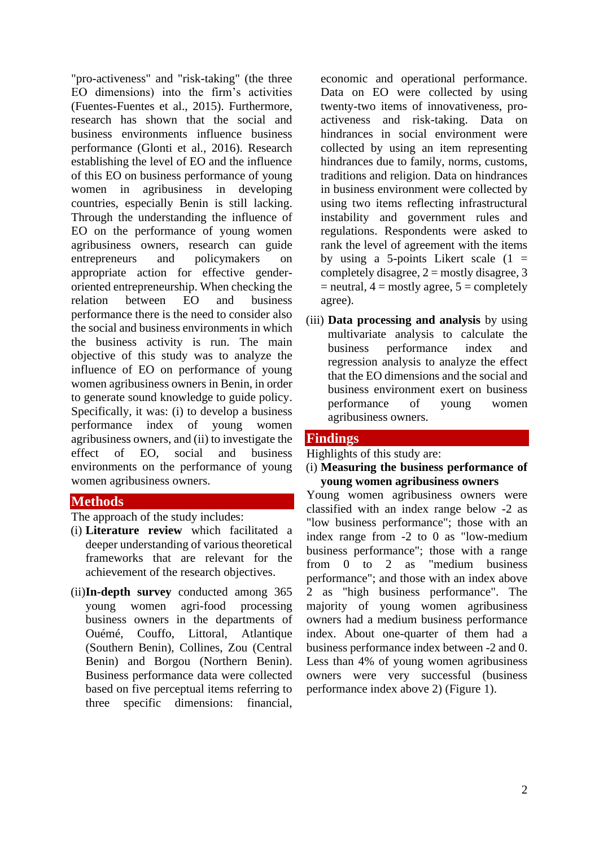"pro-activeness" and "risk-taking" (the three EO dimensions) into the firm's activities (Fuentes-Fuentes et al., 2015). Furthermore, research has shown that the social and business environments influence business performance (Glonti et al., 2016). Research establishing the level of EO and the influence of this EO on business performance of young women in agribusiness in developing countries, especially Benin is still lacking. Through the understanding the influence of EO on the performance of young women agribusiness owners, research can guide entrepreneurs and policymakers on appropriate action for effective genderoriented entrepreneurship. When checking the relation between EO and business performance there is the need to consider also the social and business environments in which the business activity is run. The main objective of this study was to analyze the influence of EO on performance of young women agribusiness owners in Benin, in order to generate sound knowledge to guide policy. Specifically, it was: (i) to develop a business performance index of young women agribusiness owners, and (ii) to investigate the effect of EO, social and business environments on the performance of young women agribusiness owners.

## **Methods**

The approach of the study includes:

- (i) **Literature review** which facilitated a deeper understanding of various theoretical frameworks that are relevant for the achievement of the research objectives.
- (ii)**In-depth survey** conducted among 365 young women agri-food processing business owners in the departments of Ouémé, Couffo, Littoral, Atlantique (Southern Benin), Collines, Zou (Central Benin) and Borgou (Northern Benin). Business performance data were collected based on five perceptual items referring to three specific dimensions: financial,

economic and operational performance. Data on EO were collected by using twenty-two items of innovativeness, proactiveness and risk-taking. Data on hindrances in social environment were collected by using an item representing hindrances due to family, norms, customs, traditions and religion. Data on hindrances in business environment were collected by using two items reflecting infrastructural instability and government rules and regulations. Respondents were asked to rank the level of agreement with the items by using a 5-points Likert scale  $(1 =$ completely disagree,  $2 =$  mostly disagree, 3  $=$  neutral,  $4 =$  mostly agree,  $5 =$  completely agree).

(iii) **Data processing and analysis** by using multivariate analysis to calculate the business performance index and regression analysis to analyze the effect that the EO dimensions and the social and business environment exert on business performance of young women agribusiness owners.

## **Findings**

Highlights of this study are:

(i) **Measuring the business performance of young women agribusiness owners**

Young women agribusiness owners were classified with an index range below -2 as "low business performance"; those with an index range from -2 to 0 as "low-medium business performance"; those with a range from 0 to 2 as "medium business performance"; and those with an index above 2 as "high business performance". The majority of young women agribusiness owners had a medium business performance index. About one-quarter of them had a business performance index between -2 and 0. Less than 4% of young women agribusiness owners were very successful (business performance index above 2) (Figure 1).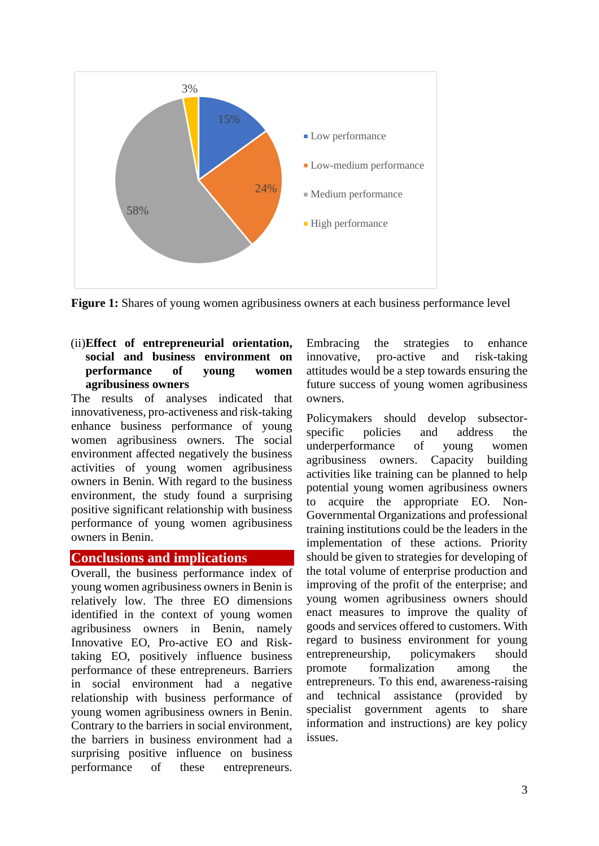

**Figure 1:** Shares of young women agribusiness owners at each business performance level

#### (ii)**Effect of entrepreneurial orientation, social and business environment on performance of young women agribusiness owners**

The results of analyses indicated that innovativeness, pro-activeness and risk-taking enhance business performance of young women agribusiness owners. The social environment affected negatively the business activities of young women agribusiness owners in Benin. With regard to the business environment, the study found a surprising positive significant relationship with business performance of young women agribusiness owners in Benin.

## **Conclusions and implications**

Overall, the business performance index of young women agribusiness owners in Benin is relatively low. The three EO dimensions identified in the context of young women agribusiness owners in Benin, namely Innovative EO, Pro-active EO and Risktaking EO, positively influence business performance of these entrepreneurs. Barriers in social environment had a negative relationship with business performance of young women agribusiness owners in Benin. Contrary to the barriers in social environment, the barriers in business environment had a surprising positive influence on business performance of these entrepreneurs.

Embracing the strategies to enhance innovative, pro-active and risk-taking attitudes would be a step towards ensuring the future success of young women agribusiness owners.

Policymakers should develop subsectorspecific policies and address the underperformance of young women agribusiness owners. Capacity building activities like training can be planned to help potential young women agribusiness owners to acquire the appropriate EO. Non-Governmental Organizations and professional training institutions could be the leaders in the implementation of these actions. Priority should be given to strategies for developing of the total volume of enterprise production and improving of the profit of the enterprise; and young women agribusiness owners should enact measures to improve the quality of goods and services offered to customers. With regard to business environment for young entrepreneurship, policymakers should promote formalization among the entrepreneurs. To this end, awareness-raising and technical assistance (provided by specialist government agents to share information and instructions) are key policy issues.